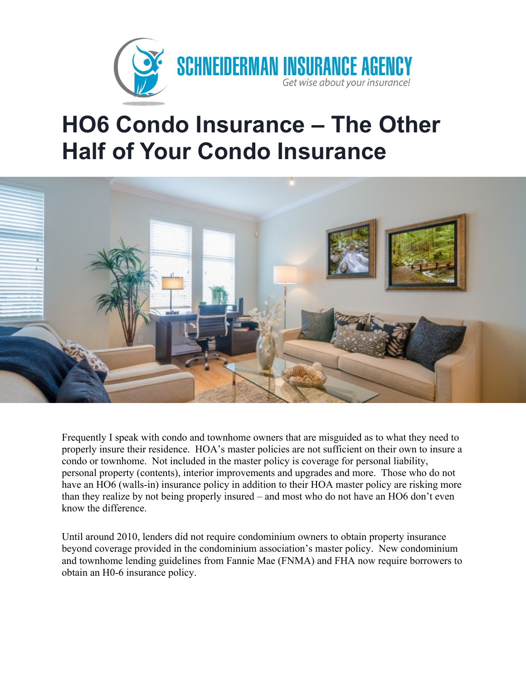

## **HO6 Condo Insurance – The Other Half of Your Condo Insurance**



Frequently I speak with condo and townhome owners that are misguided as to what they need to properly insure their residence. HOA's master policies are not sufficient on their own to insure a condo or townhome. Not included in the master policy is coverage for personal liability, personal property (contents), interior improvements and upgrades and more. Those who do not have an HO6 (walls-in) insurance policy in addition to their HOA master policy are risking more than they realize by not being properly insured – and most who do not have an HO6 don't even know the difference.

Until around 2010, lenders did not require condominium owners to obtain property insurance beyond coverage provided in the condominium association's master policy. New condominium and townhome lending guidelines from Fannie Mae (FNMA) and FHA now require borrowers to obtain an H0-6 insurance policy.